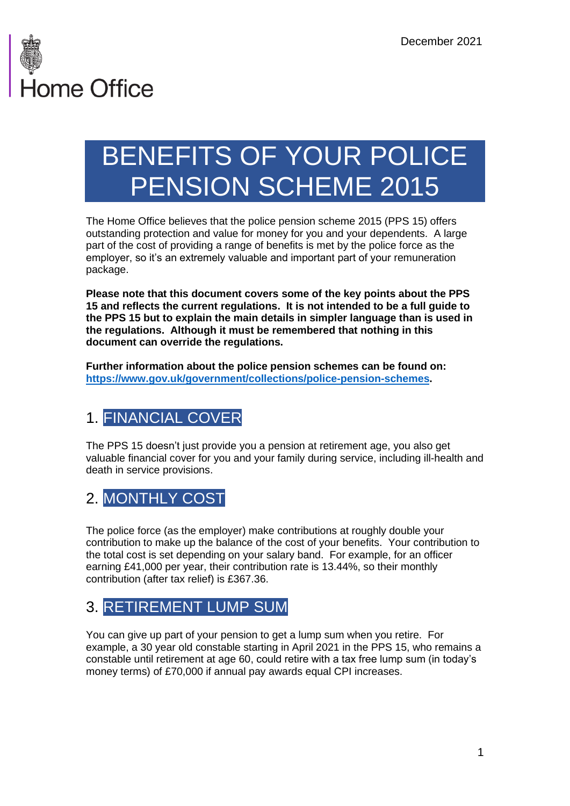

# BENEFITS OF YOUR POLICE PENSION SCHEME 2015

The Home Office believes that the police pension scheme 2015 (PPS 15) offers outstanding protection and value for money for you and your dependents. A large part of the cost of providing a range of benefits is met by the police force as the employer, so it's an extremely valuable and important part of your remuneration package.

**Please note that this document covers some of the key points about the PPS 15 and reflects the current regulations. It is not intended to be a full guide to the PPS 15 but to explain the main details in simpler language than is used in the regulations. Although it must be remembered that nothing in this document can override the regulations.**

**Further information about the police pension schemes can be found on: [https://www.gov.uk/government/collections/police-pension-schemes.](https://www.gov.uk/government/collections/police-pension-schemes)** 

## 1. FINANCIAL COVER

The PPS 15 doesn't just provide you a pension at retirement age, you also get valuable financial cover for you and your family during service, including ill-health and death in service provisions.

### 2. MONTHLY COST

The police force (as the employer) make contributions at roughly double your contribution to make up the balance of the cost of your benefits. Your contribution to the total cost is set depending on your salary band. For example, for an officer earning £41,000 per year, their contribution rate is 13.44%, so their monthly contribution (after tax relief) is £367.36.

## 3. RETIREMENT LUMP SUM

You can give up part of your pension to get a lump sum when you retire. For example, a 30 year old constable starting in April 2021 in the PPS 15, who remains a constable until retirement at age 60, could retire with a tax free lump sum (in today's money terms) of £70,000 if annual pay awards equal CPI increases.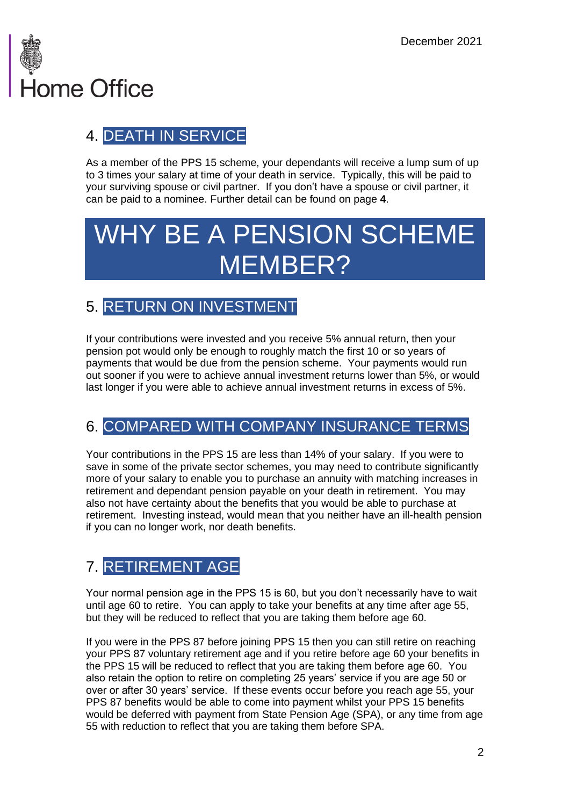

## 4. DEATH IN SERVICE

As a member of the PPS 15 scheme, your dependants will receive a lump sum of up to 3 times your salary at time of your death in service. Typically, this will be paid to your surviving spouse or civil partner. If you don't have a spouse or civil partner, it can be paid to a nominee. Further detail can be found on page **4**.

# WHY BE A PENSION SCHEME MEMBER?

## 5. RETURN ON INVESTMENT

If your contributions were invested and you receive 5% annual return, then your pension pot would only be enough to roughly match the first 10 or so years of payments that would be due from the pension scheme. Your payments would run out sooner if you were to achieve annual investment returns lower than 5%, or would last longer if you were able to achieve annual investment returns in excess of 5%.

## 6. COMPARED WITH COMPANY INSURANCE TERMS

Your contributions in the PPS 15 are less than 14% of your salary. If you were to save in some of the private sector schemes, you may need to contribute significantly more of your salary to enable you to purchase an annuity with matching increases in retirement and dependant pension payable on your death in retirement. You may also not have certainty about the benefits that you would be able to purchase at retirement. Investing instead, would mean that you neither have an ill-health pension if you can no longer work, nor death benefits.

## 7. RETIREMENT AGE

Your normal pension age in the PPS 15 is 60, but you don't necessarily have to wait until age 60 to retire. You can apply to take your benefits at any time after age 55, but they will be reduced to reflect that you are taking them before age 60.

If you were in the PPS 87 before joining PPS 15 then you can still retire on reaching your PPS 87 voluntary retirement age and if you retire before age 60 your benefits in the PPS 15 will be reduced to reflect that you are taking them before age 60. You also retain the option to retire on completing 25 years' service if you are age 50 or over or after 30 years' service. If these events occur before you reach age 55, your PPS 87 benefits would be able to come into payment whilst your PPS 15 benefits would be deferred with payment from State Pension Age (SPA), or any time from age 55 with reduction to reflect that you are taking them before SPA.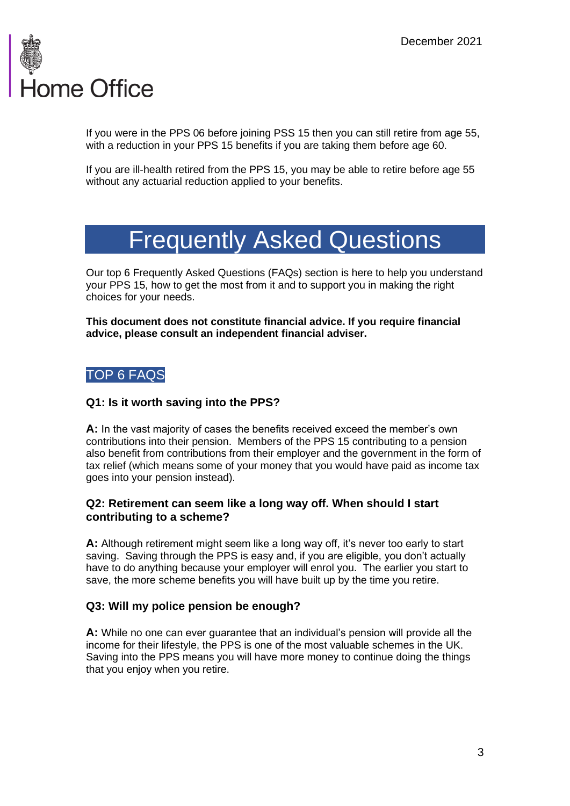

If you were in the PPS 06 before joining PSS 15 then you can still retire from age 55, with a reduction in your PPS 15 benefits if you are taking them before age 60.

If you are ill-health retired from the PPS 15, you may be able to retire before age 55 without any actuarial reduction applied to your benefits.

## Frequently Asked Questions

Our top 6 Frequently Asked Questions (FAQs) section is here to help you understand your PPS 15, how to get the most from it and to support you in making the right choices for your needs.

**This document does not constitute financial advice. If you require financial advice, please consult an independent financial adviser.** 

### TOP 6 FAQS

### **Q1: Is it worth saving into the PPS?**

**A:** In the vast majority of cases the benefits received exceed the member's own contributions into their pension. Members of the PPS 15 contributing to a pension also benefit from contributions from their employer and the government in the form of tax relief (which means some of your money that you would have paid as income tax goes into your pension instead).

### **Q2: Retirement can seem like a long way off. When should I start contributing to a scheme?**

**A:** Although retirement might seem like a long way off, it's never too early to start saving. Saving through the PPS is easy and, if you are eligible, you don't actually have to do anything because your employer will enrol you. The earlier you start to save, the more scheme benefits you will have built up by the time you retire.

### **Q3: Will my police pension be enough?**

**A:** While no one can ever guarantee that an individual's pension will provide all the income for their lifestyle, the PPS is one of the most valuable schemes in the UK. Saving into the PPS means you will have more money to continue doing the things that you enjoy when you retire.